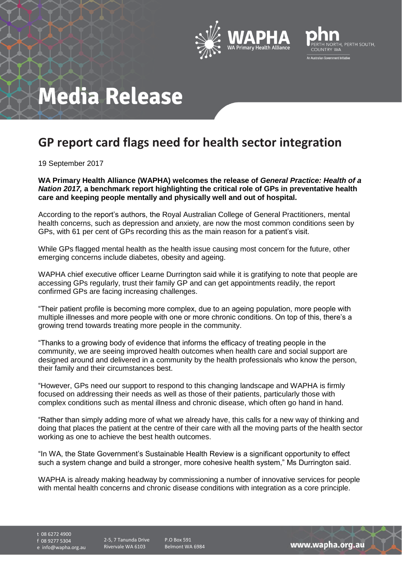



## **Media Release**

## **GP report card flags need for health sector integration**

19 September 2017

**WA Primary Health Alliance (WAPHA) welcomes the release of** *General Practice: Health of a Nation 2017,* **a benchmark report highlighting the critical role of GPs in preventative health care and keeping people mentally and physically well and out of hospital.**

According to the report's authors, the Royal Australian College of General Practitioners, mental health concerns, such as depression and anxiety, are now the most common conditions seen by GPs, with 61 per cent of GPs recording this as the main reason for a patient's visit.

While GPs flagged mental health as the health issue causing most concern for the future, other emerging concerns include diabetes, obesity and ageing.

WAPHA chief executive officer Learne Durrington said while it is gratifying to note that people are accessing GPs regularly, trust their family GP and can get appointments readily, the report confirmed GPs are facing increasing challenges.

"Their patient profile is becoming more complex, due to an ageing population, more people with multiple illnesses and more people with one or more chronic conditions. On top of this, there's a growing trend towards treating more people in the community.

"Thanks to a growing body of evidence that informs the efficacy of treating people in the community, we are seeing improved health outcomes when health care and social support are designed around and delivered in a community by the health professionals who know the person, their family and their circumstances best.

"However, GPs need our support to respond to this changing landscape and WAPHA is firmly focused on addressing their needs as well as those of their patients, particularly those with complex conditions such as mental illness and chronic disease, which often go hand in hand.

"Rather than simply adding more of what we already have, this calls for a new way of thinking and doing that places the patient at the centre of their care with all the moving parts of the health sector working as one to achieve the best health outcomes.

"In WA, the State Government's Sustainable Health Review is a significant opportunity to effect such a system change and build a stronger, more cohesive health system," Ms Durrington said.

WAPHA is already making headway by commissioning a number of innovative services for people with mental health concerns and chronic disease conditions with integration as a core principle.

t 08 6272 4900

f 08 9277 5304

e info@wapha.org.au

2-5, 7 Tanunda Drive Rivervale WA 6103

P.O Box 591 Belmont WA 6984

www.wapha.org.au